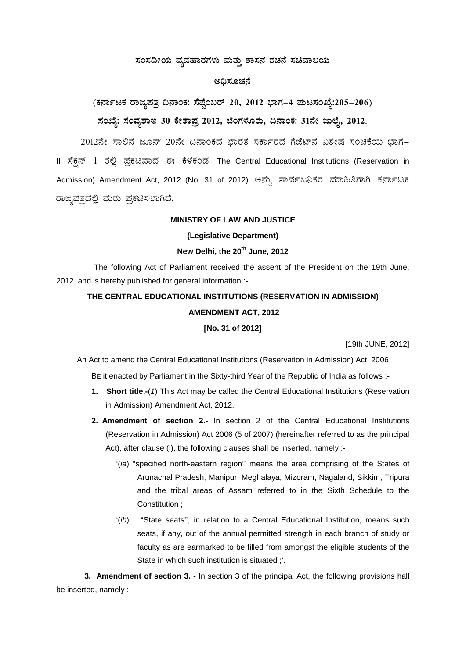## ಸಂಸದೀಯ ವ್ಯವಹಾರಗಳು ಮತ್ತು ಶಾಸನ ರಚನೆ ಸಚಿವಾಲಯ

## ಅಧಿಸೂಚನೆ

(ಕರ್ನಾಟಕ ರಾಜ್ಯಪತ್ತ ದಿನಾಂಕ: ಸೆಪ್ಟೆಂಬರ್ 20, 2012 ಭಾಗ–4 ಪುಟಸಂಖ್ಯೆ:205–206) ಸಂಖ್ಯೆ: ಸಂವ್ಯಶಾಇ 30 ಕೇಶಾಪ್ರ 2012, ಬೆಂಗಳೂರು, ದಿನಾಂಕ: 31ನೇ ಜುಲೈ, 2012.

2012ನೇ ಸಾಲಿನ ಜೂನ್ 20ನೇ ದಿನಾಂಕದ ಭಾರತ ಸರ್ಕಾರದ ಗೆಜೆಟ್ನ ವಿಶೇಷ ಸಂಚಿಕೆಯ ಭಾಗ– II ಸೆಕ್ಷನ್ 1 ರಲ್ಲಿ ಪ್ರಕಟವಾದ ಈ ಕೆಳಕಂಡ The Central Educational Institutions (Reservation in Admission) Amendment Act, 2012 (No. 31 of 2012) ಅನ್ಸು ಸಾರ್ವಜನಿಕರ ಮಾಹಿತಿಗಾಗಿ ಕರ್ನಾಟಕ ರಾಜ್ಯಪತ್ರದಲ್ಲಿ ಮರು ಪ್ರಕಟಿಸಲಾಗಿದೆ.

#### **MINISTRY OF LAW AND JUSTICE**

#### (Legislative Department)

## New Delhi, the 20<sup>th</sup> June, 2012

The following Act of Parliament received the assent of the President on the 19th June, 2012, and is hereby published for general information :-

# THE CENTRAL EDUCATIONAL INSTITUTIONS (RESERVATION IN ADMISSION) **AMENDMENT ACT, 2012** [No. 31 of 2012]

[19th JUNE, 2012]

An Act to amend the Central Educational Institutions (Reservation in Admission) Act, 2006

BE it enacted by Parliament in the Sixty-third Year of the Republic of India as follows :-

- 1. Short title.-(1) This Act may be called the Central Educational Institutions (Reservation in Admission) Amendment Act, 2012.
- 2. Amendment of section 2.- In section 2 of the Central Educational Institutions (Reservation in Admission) Act 2006 (5 of 2007) (hereinafter referred to as the principal Act), after clause (i), the following clauses shall be inserted, namely :-
	- '(ia) "specified north-eastern region" means the area comprising of the States of Arunachal Pradesh, Manipur, Meghalaya, Mizoram, Nagaland, Sikkim, Tripura and the tribal areas of Assam referred to in the Sixth Schedule to the Constitution:
	- "State seats", in relation to a Central Educational Institution, means such  $^{\prime}$ (ib) seats, if any, out of the annual permitted strength in each branch of study or faculty as are earmarked to be filled from amongst the eligible students of the State in which such institution is situated :'.

3. Amendment of section 3. - In section 3 of the principal Act, the following provisions hall be inserted, namely :-